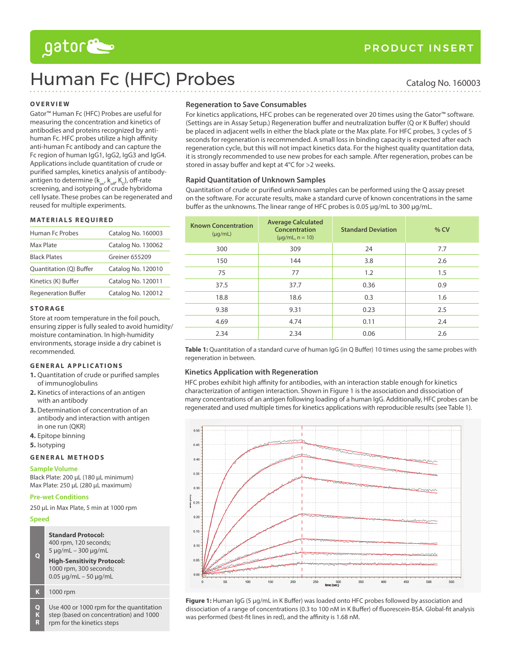# gator

# Human Fc (HFC) Probes Catalog No. 160003

# **Overview**

Gator™ Human Fc (HFC) Probes are useful for measuring the concentration and kinetics of antibodies and proteins recognized by antihuman Fc. HFC probes utilize a high affinity anti-human Fc antibody and can capture the Fc region of human IgG1, IgG2, IgG3 and IgG4. Applications include quantitation of crude or purified samples, kinetics analysis of antibodyantigen to determine ( $k_{on}$ ,  $k_{off}$ ,  $K_D$ ), off-rate screening, and isotyping of crude hybridoma cell lysate. These probes can be regenerated and reused for multiple experiments.

#### **Materials R equired**

| Human Fc Probes            | Catalog No. 160003 |  |
|----------------------------|--------------------|--|
| Max Plate                  | Catalog No. 130062 |  |
| <b>Black Plates</b>        | Greiner 655209     |  |
| Quantitation (Q) Buffer    | Catalog No. 120010 |  |
| Kinetics (K) Buffer        | Catalog No. 120011 |  |
| <b>Regeneration Buffer</b> | Catalog No. 120012 |  |

#### **S to r ag e**

Store at room temperature in the foil pouch, ensuring zipper is fully sealed to avoid humidity/ moisture contamination. In high-humidity environments, storage inside a dry cabinet is recommended.

# **GENERAL APPLICATIONS**

- **1.** Quantitation of crude or purified samples of immunoglobulins
- **2.** Kinetics of interactions of an antigen with an antibody
- **3.** Determination of concentration of an antibody and interaction with antigen in one run (QKR)
- **4.** Epitope binning
- **5.** Isotyping

#### **GENERAL METHODS**

#### **Sample Volume**

Black Plate: 200 µL (180 µL minimum) Max Plate: 250 µL (280 µL maximum)

# **Pre-wet Conditions**

250 µL in Max Plate, 5 min at 1000 rpm

# **Speed**

**Standard Protocol:** 400 rpm, 120 seconds; 5 µg/mL – 300 µg/mL

**Q High-Sensitivity Protocol:**  1000 rpm, 300 seconds; 0.05 µg/mL – 50 µg/mL

#### **K** 1000 rpm

**Q K R** Use 400 or 1000 rpm for the quantitation step (based on concentration) and 1000 rpm for the kinetics steps

# **Regeneration to Save Consumables**

For kinetics applications, HFC probes can be regenerated over 20 times using the Gator™ software. (Settings are in Assay Setup.) Regeneration buffer and neutralization buffer (Q or K Buffer) should be placed in adjacent wells in either the black plate or the Max plate. For HFC probes, 3 cycles of 5 seconds for regeneration is recommended. A small loss in binding capacity is expected after each regeneration cycle, but this will not impact kinetics data. For the highest quality quantitation data, it is strongly recommended to use new probes for each sample. After regeneration, probes can be stored in assay buffer and kept at 4°C for >2 weeks.

# **Rapid Quantitation of Unknown Samples**

Quantitation of crude or purified unknown samples can be performed using the Q assay preset on the software. For accurate results, make a standard curve of known concentrations in the same buffer as the unknowns. The linear range of HFC probes is 0.05 µg/mL to 300 µg/mL.

| <b>Known Concentration</b><br>$(\mu q/mL)$ | <b>Average Calculated</b><br>Concentration<br>$(\mu q/mL, n = 10)$ | <b>Standard Deviation</b> | $%$ CV |
|--------------------------------------------|--------------------------------------------------------------------|---------------------------|--------|
| 300                                        | 309                                                                | 24                        | 7.7    |
| 150                                        | 144                                                                | 3.8                       | 2.6    |
| 75                                         | 77                                                                 | 1.2                       | 1.5    |
| 37.5                                       | 37.7                                                               | 0.36                      | 0.9    |
| 18.8                                       | 18.6                                                               | 0.3                       | 1.6    |
| 9.38                                       | 9.31                                                               | 0.23                      | 2.5    |
| 4.69                                       | 4.74                                                               | 0.11                      | 2.4    |
| 2.34                                       | 2.34                                                               | 0.06                      | 2.6    |

Table 1: Quantitation of a standard curve of human IgG (in Q Buffer) 10 times using the same probes with regeneration in between.

# **Kinetics Application with Regeneration**

HFC probes exhibit high affinity for antibodies, with an interaction stable enough for kinetics characterization of antigen interaction. Shown in Figure 1 is the association and dissociation of many concentrations of an antigen following loading of a human IgG. Additionally, HFC probes can be regenerated and used multiple times for kinetics applications with reproducible results (see Table 1).



**Figure 1:** Human IgG (5 µg/mL in K Buffer) was loaded onto HFC probes followed by association and dissociation of a range of concentrations (0.3 to 100 nM in K Buffer) of fluorescein-BSA. Global-fit analysis was performed (best-fit lines in red), and the affinity is 1.68 nM.